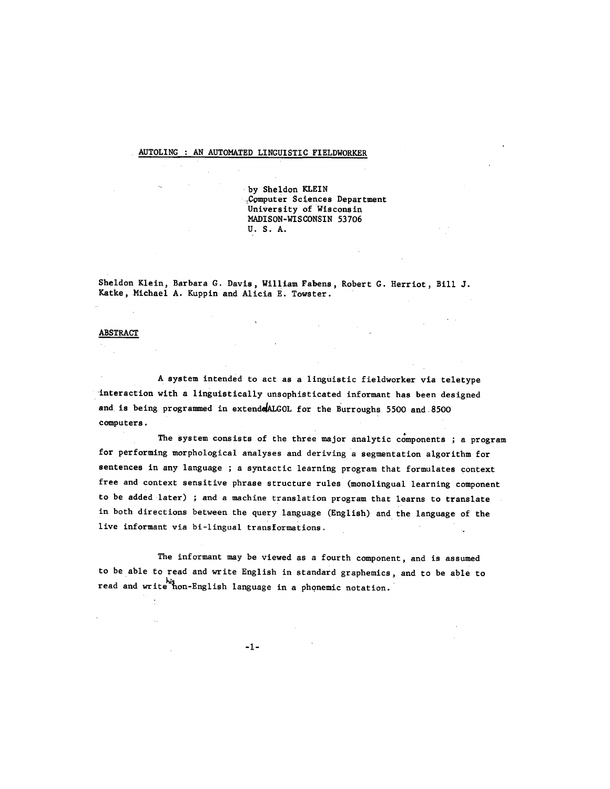## AUTOLING : AN AUTOMATED LINGUISTIC FIELDWORKER

by Sheldon KLEIN +COmputer Sciences Department University of Wisconsin MADISON-WISCONSIN 53706 U. S. A.

Sheldon Klein, Barbara G. Davis, William Fabens, Robert G. Herriot, Bill J. Katke, Michael A. Kuppin and Alicia E. Towster.

## ABSTRACT

A system intended to act as a linguistic fieldworker via teletype 'interaction with a linguistically unsophisticated informant has been designed and is being programmed in extendedALGOL for the Burroughs 5500 and 8500 computers.

The system consists of the three major analytic components ; a program for performing morphological analyses and deriving a segmentation algorithm for sentences in any language ; a syntactic learning program that formulates context free and context sensitive phrase structure rules (monolingual learning component to be added later) ; and a machine translation program that learns to translate in both directions between the query language (English) and the language of the live informant via bi-lingual transformations.

The informant may be viewed as a fourth component, and is assumed to be able to read and write English in standard graphemics, and to be able to read and write hon-English language in a phonemic notation.

 $-1-$